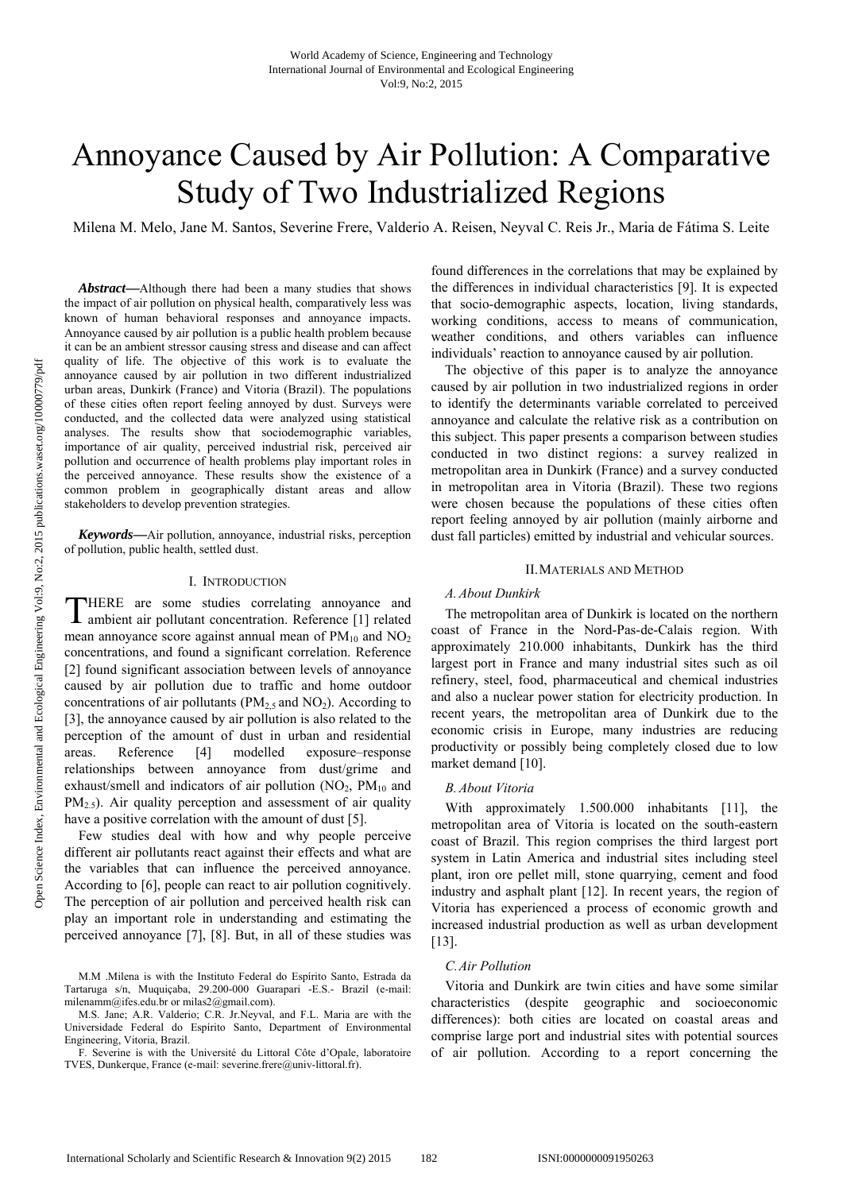# Annoyance Caused by Air Pollution: A Comparative Study of Two Industrialized Regions

Milena M. Melo, Jane M. Santos, Severine Frere, Valderio A. Reisen, Neyval C. Reis Jr., Maria de Fátima S. Leite

*Abstract***—**Although there had been a many studies that shows the impact of air pollution on physical health, comparatively less was known of human behavioral responses and annoyance impacts. Annoyance caused by air pollution is a public health problem because it can be an ambient stressor causing stress and disease and can affect quality of life. The objective of this work is to evaluate the annoyance caused by air pollution in two different industrialized urban areas, Dunkirk (France) and Vitoria (Brazil). The populations of these cities often report feeling annoyed by dust. Surveys were conducted, and the collected data were analyzed using statistical analyses. The results show that sociodemographic variables, importance of air quality, perceived industrial risk, perceived air pollution and occurrence of health problems play important roles in the perceived annoyance. These results show the existence of a common problem in geographically distant areas and allow stakeholders to develop prevention strategies.

*Keywords***—**Air pollution, annoyance, industrial risks, perception of pollution, public health, settled dust.

## I. INTRODUCTION

HERE are some studies correlating annoyance and THERE are some studies correlating annoyance and ambient air pollutant concentration. Reference [1] related mean annoyance score against annual mean of  $PM_{10}$  and  $NO_2$ concentrations, and found a significant correlation. Reference [2] found significant association between levels of annoyance caused by air pollution due to traffic and home outdoor concentrations of air pollutants ( $PM<sub>2.5</sub>$  and  $NO<sub>2</sub>$ ). According to [3], the annoyance caused by air pollution is also related to the perception of the amount of dust in urban and residential areas. Reference [4] modelled exposure–response relationships between annoyance from dust/grime and exhaust/smell and indicators of air pollution  $(NO_2, PM_{10})$  and  $PM_{2.5}$ ). Air quality perception and assessment of air quality have a positive correlation with the amount of dust [5].

Few studies deal with how and why people perceive different air pollutants react against their effects and what are the variables that can influence the perceived annoyance. According to [6], people can react to air pollution cognitively. The perception of air pollution and perceived health risk can play an important role in understanding and estimating the perceived annoyance [7], [8]. But, in all of these studies was found differences in the correlations that may be explained by the differences in individual characteristics [9]. It is expected that socio-demographic aspects, location, living standards, working conditions, access to means of communication, weather conditions, and others variables can influence individuals' reaction to annoyance caused by air pollution.

The objective of this paper is to analyze the annoyance caused by air pollution in two industrialized regions in order to identify the determinants variable correlated to perceived annoyance and calculate the relative risk as a contribution on this subject. This paper presents a comparison between studies conducted in two distinct regions: a survey realized in metropolitan area in Dunkirk (France) and a survey conducted in metropolitan area in Vitoria (Brazil). These two regions were chosen because the populations of these cities often report feeling annoyed by air pollution (mainly airborne and dust fall particles) emitted by industrial and vehicular sources.

# II.MATERIALS AND METHOD

## *A.About Dunkirk*

The metropolitan area of Dunkirk is located on the northern coast of France in the Nord-Pas-de-Calais region. With approximately 210.000 inhabitants, Dunkirk has the third largest port in France and many industrial sites such as oil refinery, steel, food, pharmaceutical and chemical industries and also a nuclear power station for electricity production. In recent years, the metropolitan area of Dunkirk due to the economic crisis in Europe, many industries are reducing productivity or possibly being completely closed due to low market demand [10].

#### *B.About Vitoria*

With approximately 1.500.000 inhabitants [11], the metropolitan area of Vitoria is located on the south-eastern coast of Brazil. This region comprises the third largest port system in Latin America and industrial sites including steel plant, iron ore pellet mill, stone quarrying, cement and food industry and asphalt plant [12]. In recent years, the region of Vitoria has experienced a process of economic growth and increased industrial production as well as urban development [13].

#### *C.Air Pollution*

Vitoria and Dunkirk are twin cities and have some similar characteristics (despite geographic and socioeconomic differences): both cities are located on coastal areas and comprise large port and industrial sites with potential sources of air pollution. According to a report concerning the

M.M .Milena is with the Instituto Federal do Espírito Santo, Estrada da Tartaruga s/n, Muquiçaba, 29.200-000 Guarapari -E.S.- Brazil (e-mail: milenamm@ifes.edu.br or milas2@gmail.com).

M.S. Jane; A.R. Valderio; C.R. Jr.Neyval, and F.L. Maria are with the Universidade Federal do Espírito Santo, Department of Environmental Engineering, Vitoria, Brazil.

F. Severine is with the Université du Littoral Côte d'Opale, laboratoire TVES, Dunkerque, France (e-mail: severine.frere@univ-littoral.fr).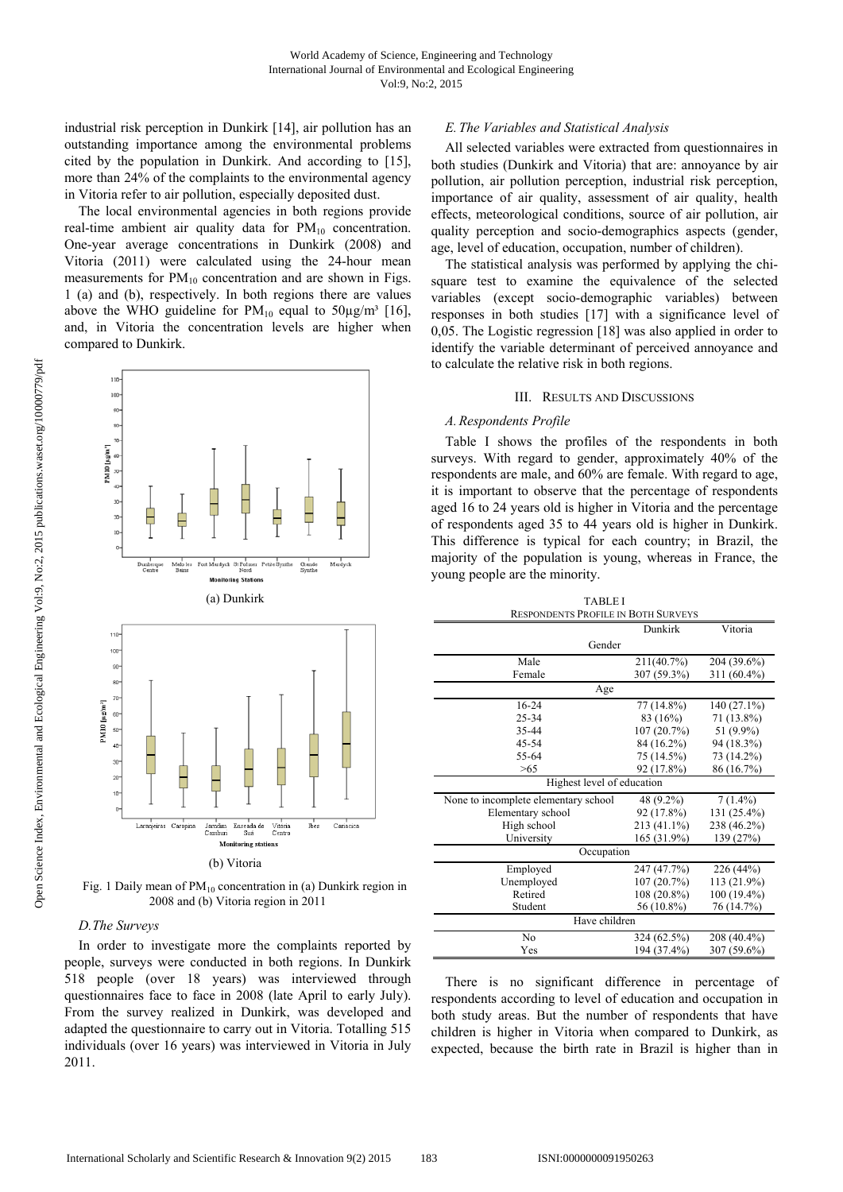industrial risk perception in Dunkirk [14], air pollution has an outstanding importance among the environmental problems cited by the population in Dunkirk. And according to [15], more than 24% of the complaints to the environmental agency in Vitoria refer to air pollution, especially deposited dust.

The local environmental agencies in both regions provide real-time ambient air quality data for  $PM_{10}$  concentration. One-year average concentrations in Dunkirk (2008) and Vitoria (2011) were calculated using the 24-hour mean measurements for  $PM_{10}$  concentration and are shown in Figs. 1 (a) and (b), respectively. In both regions there are values above the WHO guideline for  $PM_{10}$  equal to  $50\mu g/m^3$  [16], and, in Vitoria the concentration levels are higher when compared to Dunkirk.



Fig. 1 Daily mean of  $PM_{10}$  concentration in (a) Dunkirk region in 2008 and (b) Vitoria region in 2011

## *D.The Surveys*

In order to investigate more the complaints reported by people, surveys were conducted in both regions. In Dunkirk 518 people (over 18 years) was interviewed through questionnaires face to face in 2008 (late April to early July). From the survey realized in Dunkirk, was developed and adapted the questionnaire to carry out in Vitoria. Totalling 515 individuals (over 16 years) was interviewed in Vitoria in July 2011.

## *E.The Variables and Statistical Analysis*

All selected variables were extracted from questionnaires in both studies (Dunkirk and Vitoria) that are: annoyance by air pollution, air pollution perception, industrial risk perception, importance of air quality, assessment of air quality, health effects, meteorological conditions, source of air pollution, air quality perception and socio-demographics aspects (gender, age, level of education, occupation, number of children).

The statistical analysis was performed by applying the chisquare test to examine the equivalence of the selected variables (except socio-demographic variables) between responses in both studies [17] with a significance level of 0,05. The Logistic regression [18] was also applied in order to identify the variable determinant of perceived annoyance and to calculate the relative risk in both regions.

#### III. RESULTS AND DISCUSSIONS

## *A.Respondents Profile*

Table I shows the profiles of the respondents in both surveys. With regard to gender, approximately 40% of the respondents are male, and 60% are female. With regard to age, it is important to observe that the percentage of respondents aged 16 to 24 years old is higher in Vitoria and the percentage of respondents aged 35 to 44 years old is higher in Dunkirk. This difference is typical for each country; in Brazil, the majority of the population is young, whereas in France, the young people are the minority.

| <b>TABLE I</b>                       |                                            |               |  |  |  |  |
|--------------------------------------|--------------------------------------------|---------------|--|--|--|--|
|                                      | <b>RESPONDENTS PROFILE IN BOTH SURVEYS</b> |               |  |  |  |  |
|                                      | Dunkirk                                    | Vitoria       |  |  |  |  |
| Gender                               |                                            |               |  |  |  |  |
| Male                                 | 211(40.7%)                                 | 204 (39.6%)   |  |  |  |  |
| Female                               | 307 (59.3%)                                | $311(60.4\%)$ |  |  |  |  |
| Age                                  |                                            |               |  |  |  |  |
| 16-24                                | 77 (14.8%)                                 | 140 (27.1%)   |  |  |  |  |
| 25-34                                | 83 (16%)                                   | 71 (13.8%)    |  |  |  |  |
| 35-44                                | 107 (20.7%)                                | 51 (9.9%)     |  |  |  |  |
| 45-54                                | 84 (16.2%)                                 | 94 (18.3%)    |  |  |  |  |
| 55-64                                | 75 (14.5%)                                 | 73 (14.2%)    |  |  |  |  |
| >65                                  | 92 (17.8%)                                 | 86 (16.7%)    |  |  |  |  |
| Highest level of education           |                                            |               |  |  |  |  |
| None to incomplete elementary school | 48 (9.2%)                                  | $7(1.4\%)$    |  |  |  |  |
| Elementary school                    | 92 (17.8%)                                 | 131 (25.4%)   |  |  |  |  |
| High school                          | 213 (41.1%)                                | 238 (46.2%)   |  |  |  |  |
| University                           | 165 (31.9%)                                | 139 (27%)     |  |  |  |  |
| Occupation                           |                                            |               |  |  |  |  |
| Employed                             | 247 (47.7%)                                | 226 (44%)     |  |  |  |  |
| Unemployed                           | 107 (20.7%)                                | 113 (21.9%)   |  |  |  |  |
| Retired                              | 108 (20.8%)                                | 100 (19.4%)   |  |  |  |  |
| Student                              | 56 (10.8%)                                 | 76 (14.7%)    |  |  |  |  |
| Have children                        |                                            |               |  |  |  |  |
| No                                   | 324 (62.5%)                                | 208 (40.4%)   |  |  |  |  |
| Yes                                  | 194 (37.4%)                                | 307 (59.6%)   |  |  |  |  |

There is no significant difference in percentage of respondents according to level of education and occupation in both study areas. But the number of respondents that have children is higher in Vitoria when compared to Dunkirk, as expected, because the birth rate in Brazil is higher than in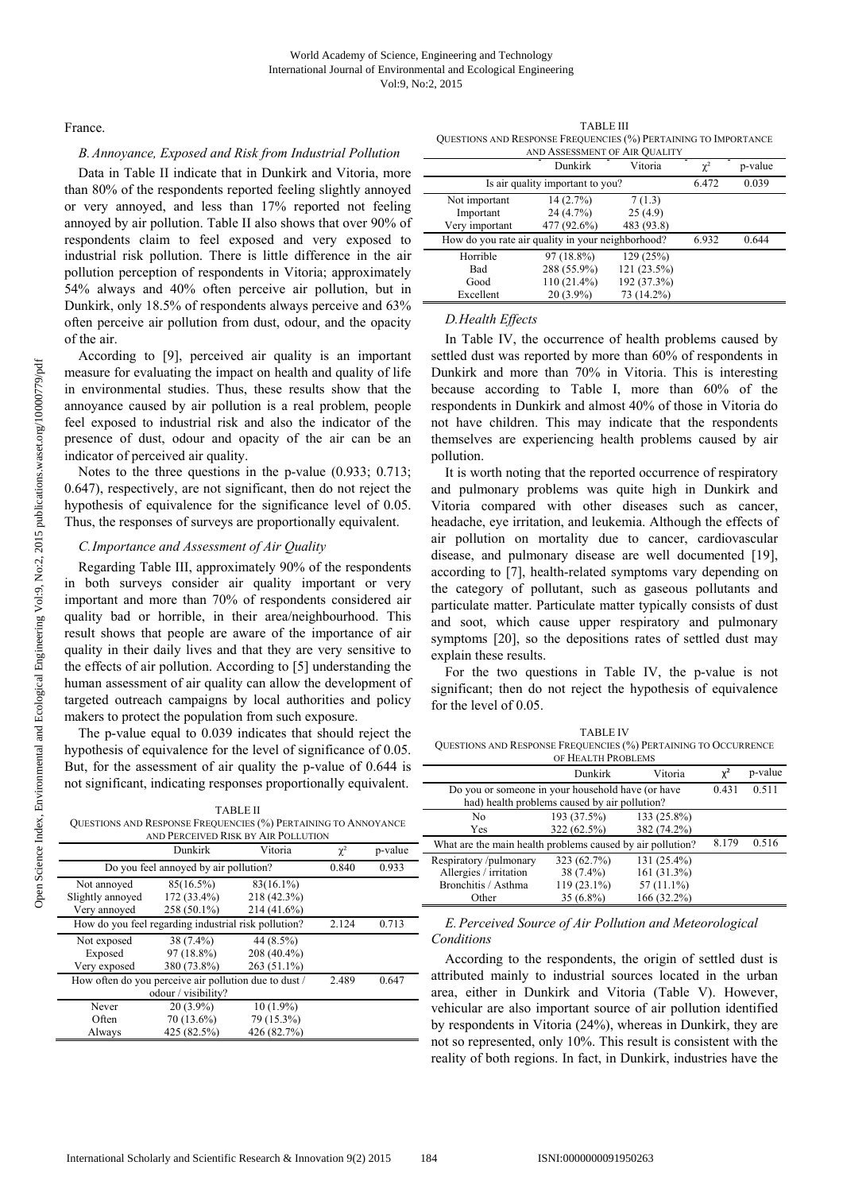France.

## *B.Annoyance, Exposed and Risk from Industrial Pollution*

Data in Table II indicate that in Dunkirk and Vitoria, more than 80% of the respondents reported feeling slightly annoyed or very annoyed, and less than 17% reported not feeling annoyed by air pollution. Table II also shows that over 90% of respondents claim to feel exposed and very exposed to industrial risk pollution. There is little difference in the air pollution perception of respondents in Vitoria; approximately 54% always and 40% often perceive air pollution, but in Dunkirk, only 18.5% of respondents always perceive and 63% often perceive air pollution from dust, odour, and the opacity of the air.

According to [9], perceived air quality is an important measure for evaluating the impact on health and quality of life in environmental studies. Thus, these results show that the annoyance caused by air pollution is a real problem, people feel exposed to industrial risk and also the indicator of the presence of dust, odour and opacity of the air can be an indicator of perceived air quality.

Notes to the three questions in the p-value (0.933; 0.713; 0.647), respectively, are not significant, then do not reject the hypothesis of equivalence for the significance level of 0.05. Thus, the responses of surveys are proportionally equivalent.

# *C.Importance and Assessment of Air Quality*

Regarding Table III, approximately 90% of the respondents in both surveys consider air quality important or very important and more than 70% of respondents considered air quality bad or horrible, in their area/neighbourhood. This result shows that people are aware of the importance of air quality in their daily lives and that they are very sensitive to the effects of air pollution. According to [5] understanding the human assessment of air quality can allow the development of targeted outreach campaigns by local authorities and policy makers to protect the population from such exposure.

The p-value equal to 0.039 indicates that should reject the hypothesis of equivalence for the level of significance of 0.05. But, for the assessment of air quality the p-value of 0.644 is not significant, indicating responses proportionally equivalent.

TABLE II QUESTIONS AND RESPONSE FREQUENCIES (%) PERTAINING TO ANNOYANCE AND PERCEIVED RISK BY AIR POLLUTION

|                                                       | Dunkirk                               | Vitoria      | $\chi^2$ | p-value |
|-------------------------------------------------------|---------------------------------------|--------------|----------|---------|
|                                                       | Do you feel annoyed by air pollution? |              | 0.840    | 0.933   |
| Not annoved                                           | 85(16.5%)                             | $83(16.1\%)$ |          |         |
| Slightly annoyed                                      | 172 (33.4%)                           | 218 (42.3%)  |          |         |
| Very annoved                                          | 258 (50.1%)                           | 214 (41.6%)  |          |         |
| How do you feel regarding industrial risk pollution?  |                                       |              | 2.124    | 0.713   |
| Not exposed                                           | 38 (7.4%)                             | 44 (8.5%)    |          |         |
| Exposed                                               | 97 (18.8%)                            | 208 (40.4%)  |          |         |
| Very exposed                                          | 380 (73.8%)                           | 263 (51.1%)  |          |         |
| How often do you perceive air pollution due to dust / |                                       |              | 2.489    | 0.647   |
|                                                       | odour / visibility?                   |              |          |         |
| Never                                                 | $20(3.9\%)$                           | $10(1.9\%)$  |          |         |
| Often                                                 | 70 (13.6%)                            | 79 (15.3%)   |          |         |
| Always                                                | 425 (82.5%)                           | 426 (82.7%)  |          |         |

TABLE III QUESTIONS AND RESPONSE FREQUENCIES (%) PERTAINING TO IMPORTANCE

| AND ASSESSMENT OF AIR QUALITY |                                                   |             |          |         |  |
|-------------------------------|---------------------------------------------------|-------------|----------|---------|--|
|                               | Dunkirk                                           | Vitoria     | $\chi^2$ | p-value |  |
|                               | Is air quality important to you?                  |             | 6.472    | 0.039   |  |
| Not important                 | 14(2.7%)                                          | 7(1.3)      |          |         |  |
| Important                     | 24 (4.7%)                                         | 25(4.9)     |          |         |  |
| Very important                | 477 (92.6%)                                       | 483 (93.8)  |          |         |  |
|                               | How do you rate air quality in your neighborhood? |             |          | 0.644   |  |
| Horrible                      | 97 (18.8%)                                        | 129(25%)    |          |         |  |
| Bad                           | 288 (55.9%)                                       | 121 (23.5%) |          |         |  |
| Good                          | 110 (21.4%)                                       | 192 (37.3%) |          |         |  |
| Excellent                     | $20(3.9\%)$                                       | 73 (14.2%)  |          |         |  |

# *D.Health Effects*

In Table IV, the occurrence of health problems caused by settled dust was reported by more than 60% of respondents in Dunkirk and more than 70% in Vitoria. This is interesting because according to Table I, more than 60% of the respondents in Dunkirk and almost 40% of those in Vitoria do not have children. This may indicate that the respondents themselves are experiencing health problems caused by air pollution.

It is worth noting that the reported occurrence of respiratory and pulmonary problems was quite high in Dunkirk and Vitoria compared with other diseases such as cancer, headache, eye irritation, and leukemia. Although the effects of air pollution on mortality due to cancer, cardiovascular disease, and pulmonary disease are well documented [19], according to [7], health-related symptoms vary depending on the category of pollutant, such as gaseous pollutants and particulate matter. Particulate matter typically consists of dust and soot, which cause upper respiratory and pulmonary symptoms [20], so the depositions rates of settled dust may explain these results.

For the two questions in Table IV, the p-value is not significant; then do not reject the hypothesis of equivalence for the level of 0.05.

TABLE IV QUESTIONS AND RESPONSE FREQUENCIES (%) PERTAINING TO OCCURRENCE

| S |                                                                                                    | Dunkirk                    | Vitoria                    | $\chi^2$ | p-value |
|---|----------------------------------------------------------------------------------------------------|----------------------------|----------------------------|----------|---------|
|   | Do you or someone in your household have (or have<br>had) health problems caused by air pollution? |                            |                            | 0.431    | 0.511   |
|   |                                                                                                    |                            |                            |          |         |
|   | No<br>Yes                                                                                          | 193 (37.5%)<br>322 (62.5%) | 133 (25.8%)<br>382 (74.2%) |          |         |
|   | What are the main health problems caused by air pollution?                                         |                            |                            | 8.179    | 0.516   |
|   | Respiratory/pulmonary                                                                              | 323 (62.7%)                | 131 (25.4%)                |          |         |
|   | Allergies / irritation                                                                             | 38 (7.4%)                  | 161(31.3%)                 |          |         |
|   | Bronchitis / Asthma                                                                                | 119 (23.1%)                | 57 (11.1%)                 |          |         |
|   | Other                                                                                              | $35(6.8\%)$                | 166 (32.2%)                |          |         |

# *E.Perceived Source of Air Pollution and Meteorological Conditions*

According to the respondents, the origin of settled dust is attributed mainly to industrial sources located in the urban area, either in Dunkirk and Vitoria (Table V). However, vehicular are also important source of air pollution identified by respondents in Vitoria (24%), whereas in Dunkirk, they are not so represented, only 10%. This result is consistent with the reality of both regions. In fact, in Dunkirk, industries have the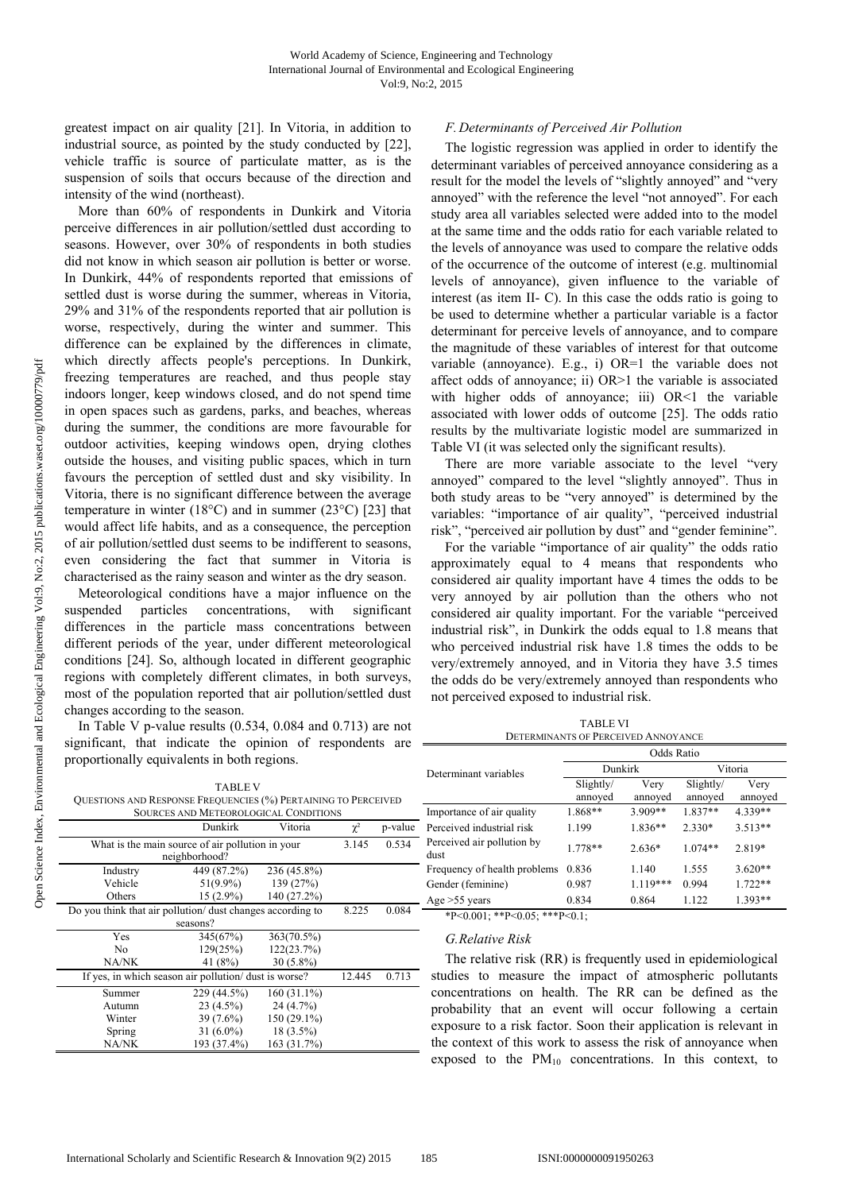greatest impact on air quality [21]. In Vitoria, in addition to industrial source, as pointed by the study conducted by [22], vehicle traffic is source of particulate matter, as is the suspension of soils that occurs because of the direction and intensity of the wind (northeast).

More than 60% of respondents in Dunkirk and Vitoria perceive differences in air pollution/settled dust according to seasons. However, over 30% of respondents in both studies did not know in which season air pollution is better or worse. In Dunkirk, 44% of respondents reported that emissions of settled dust is worse during the summer, whereas in Vitoria, 29% and 31% of the respondents reported that air pollution is worse, respectively, during the winter and summer. This difference can be explained by the differences in climate, which directly affects people's perceptions. In Dunkirk, freezing temperatures are reached, and thus people stay indoors longer, keep windows closed, and do not spend time in open spaces such as gardens, parks, and beaches, whereas during the summer, the conditions are more favourable for outdoor activities, keeping windows open, drying clothes outside the houses, and visiting public spaces, which in turn favours the perception of settled dust and sky visibility. In Vitoria, there is no significant difference between the average temperature in winter (18 $^{\circ}$ C) and in summer (23 $^{\circ}$ C) [23] that would affect life habits, and as a consequence, the perception of air pollution/settled dust seems to be indifferent to seasons, even considering the fact that summer in Vitoria is characterised as the rainy season and winter as the dry season.

Meteorological conditions have a major influence on the suspended particles concentrations, with significant differences in the particle mass concentrations between different periods of the year, under different meteorological conditions [24]. So, although located in different geographic regions with completely different climates, in both surveys, most of the population reported that air pollution/settled dust changes according to the season.

In Table V p-value results (0.534, 0.084 and 0.713) are not significant, that indicate the opinion of respondents are proportionally equivalents in both regions.

|                                                                | <b>TABLEV</b>                   |                                                           |   |      |
|----------------------------------------------------------------|---------------------------------|-----------------------------------------------------------|---|------|
| QUESTIONS AND RESPONSE FREQUENCIES (%) PERTAINING TO PERCEIVED |                                 |                                                           |   |      |
|                                                                |                                 | SOURCES AND METEOROLOGICAL CONDITIONS                     |   |      |
|                                                                | $D_1, \ldots, D_n, \ldots, D_n$ | $\mathbf{V}$ $\mathbf{V}$ is $\mathbf{V}$ in $\mathbf{V}$ | . | . 1. |

| Dunkirk<br>Vitoria                                         |                                                  |               | $\chi^2$ | p-value |
|------------------------------------------------------------|--------------------------------------------------|---------------|----------|---------|
|                                                            | What is the main source of air pollution in your |               | 3.145    | 0.534   |
|                                                            | neighborhood?                                    |               |          |         |
| Industry                                                   | 449 (87.2%)                                      | 236 (45.8%)   |          |         |
| Vehicle                                                    | $51(9.9\%)$                                      | 139 (27%)     |          |         |
| Others                                                     | 15 (2.9%)                                        | 140 (27.2%)   |          |         |
| Do you think that air pollution/ dust changes according to |                                                  |               | 8.225    | 0.084   |
|                                                            | seasons?                                         |               |          |         |
| Yes                                                        | 345(67%)                                         | 363(70.5%)    |          |         |
| No                                                         | 129(25%)                                         | 122(23.7%)    |          |         |
| NA/NK                                                      | 41 (8%)                                          | $30(5.8\%)$   |          |         |
| If yes, in which season air pollution/ dust is worse?      |                                                  |               | 12.445   | 0.713   |
| Summer                                                     | 229 (44.5%)                                      | $160(31.1\%)$ |          |         |
| Autumn                                                     | $23(4.5\%)$                                      | 24 (4.7%)     |          |         |
| Winter                                                     | $39(7.6\%)$                                      | 150 (29.1%)   |          |         |
| Spring                                                     | $31(6.0\%)$                                      | $18(3.5\%)$   |          |         |
| NA/NK                                                      | 193 (37.4%)                                      | 163 (31.7%)   |          |         |

## *F.Determinants of Perceived Air Pollution*

The logistic regression was applied in order to identify the determinant variables of perceived annoyance considering as a result for the model the levels of "slightly annoyed" and "very annoyed" with the reference the level "not annoyed". For each study area all variables selected were added into to the model at the same time and the odds ratio for each variable related to the levels of annoyance was used to compare the relative odds of the occurrence of the outcome of interest (e.g. multinomial levels of annoyance), given influence to the variable of interest (as item II- C). In this case the odds ratio is going to be used to determine whether a particular variable is a factor determinant for perceive levels of annoyance, and to compare the magnitude of these variables of interest for that outcome variable (annoyance). E.g., i) OR=1 the variable does not affect odds of annoyance; ii) OR>1 the variable is associated with higher odds of annoyance; iii) OR<1 the variable associated with lower odds of outcome [25]. The odds ratio results by the multivariate logistic model are summarized in Table VI (it was selected only the significant results).

There are more variable associate to the level "very annoyed" compared to the level "slightly annoyed". Thus in both study areas to be "very annoyed" is determined by the variables: "importance of air quality", "perceived industrial risk", "perceived air pollution by dust" and "gender feminine".

For the variable "importance of air quality" the odds ratio approximately equal to 4 means that respondents who considered air quality important have 4 times the odds to be very annoyed by air pollution than the others who not considered air quality important. For the variable "perceived industrial risk", in Dunkirk the odds equal to 1.8 means that who perceived industrial risk have 1.8 times the odds to be very/extremely annoyed, and in Vitoria they have 3.5 times the odds do be very/extremely annoyed than respondents who not perceived exposed to industrial risk.

TABLE VI

| <b>DETERMINANTS OF PERCEIVED ANNOYANCE</b> |                      |                 |                      |                 |  |  |
|--------------------------------------------|----------------------|-----------------|----------------------|-----------------|--|--|
|                                            | Odds Ratio           |                 |                      |                 |  |  |
| Determinant variables                      | Dunkirk              |                 | Vitoria              |                 |  |  |
|                                            | Slightly/<br>annoyed | Very<br>annoyed | Slightly/<br>annoved | Very<br>annoyed |  |  |
| Importance of air quality                  | 1.868**              | 3.909**         | 1.837**              | 4.339**         |  |  |
| Perceived industrial risk                  | 1.199                | $1.836**$       | $2.330*$             | $3.513**$       |  |  |
| Perceived air pollution by<br>dust         | $1.778**$            | $2.636*$        | $1.074**$            | 2.819*          |  |  |
| Frequency of health problems               | 0.836                | 1.140           | 1.555                | $3.620**$       |  |  |
| Gender (feminine)                          | 0.987                | $1.119***$      | 0.994                | $1.722**$       |  |  |
| Age $>55$ years                            | 0.834                | 0.864           | 1.122                | 1.393**         |  |  |

\*P<0.001; \*\*P<0.05; \*\*\*P<0.1;

## *G.Relative Risk*

The relative risk (RR) is frequently used in epidemiological studies to measure the impact of atmospheric pollutants concentrations on health. The RR can be defined as the probability that an event will occur following a certain exposure to a risk factor. Soon their application is relevant in the context of this work to assess the risk of annoyance when exposed to the PM10 concentrations. In this context, to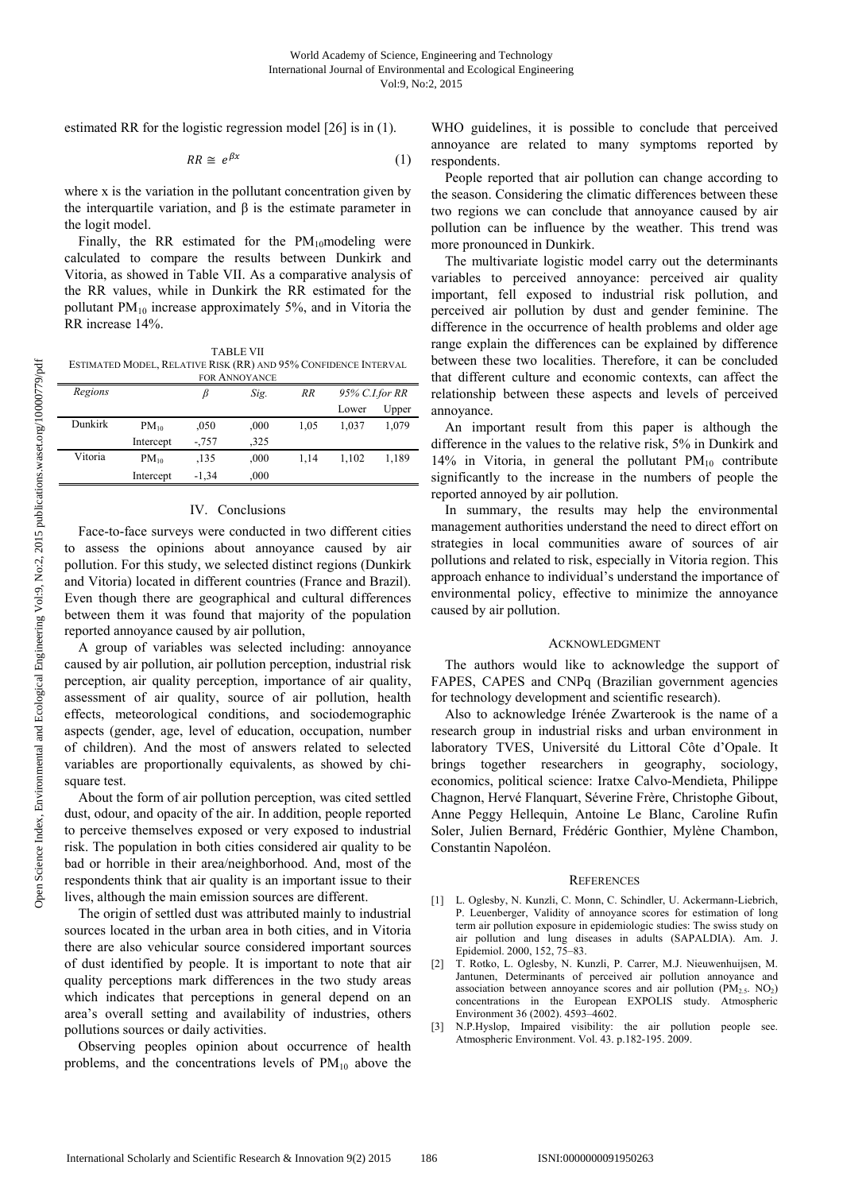estimated RR for the logistic regression model [26] is in (1).

$$
RR \cong e^{\beta x} \tag{1}
$$

where x is the variation in the pollutant concentration given by the interquartile variation, and  $\beta$  is the estimate parameter in the logit model.

Finally, the RR estimated for the  $PM_{10}$ modeling were calculated to compare the results between Dunkirk and Vitoria, as showed in Table VII. As a comparative analysis of the RR values, while in Dunkirk the RR estimated for the pollutant  $PM_{10}$  increase approximately 5%, and in Vitoria the RR increase 14%.

TABLE VII ESTIMATED MODEL, RELATIVE RISK (RR) AND 95% CONFIDENCE INTERVAL FOR ANNOYANCE

| FUIN AININU LAINUE |           |          |      |      |                |       |  |
|--------------------|-----------|----------|------|------|----------------|-------|--|
| Regions            |           | β        | Sig. | RR   | 95% C.I.for RR |       |  |
|                    |           |          |      |      | Lower          | Upper |  |
| Dunkirk            | $PM_{10}$ | ,050     | .000 | 1.05 | 1.037          | 1.079 |  |
|                    | Intercept | $-0.757$ | .325 |      |                |       |  |
| Vitoria            | $PM_{10}$ | .135     | .000 | 1.14 | 1.102          | 1.189 |  |
|                    | Intercept | $-1.34$  | ,000 |      |                |       |  |

## IV. Conclusions

Face-to-face surveys were conducted in two different cities to assess the opinions about annoyance caused by air pollution. For this study, we selected distinct regions (Dunkirk and Vitoria) located in different countries (France and Brazil). Even though there are geographical and cultural differences between them it was found that majority of the population reported annoyance caused by air pollution,

A group of variables was selected including: annoyance caused by air pollution, air pollution perception, industrial risk perception, air quality perception, importance of air quality, assessment of air quality, source of air pollution, health effects, meteorological conditions, and sociodemographic aspects (gender, age, level of education, occupation, number of children). And the most of answers related to selected variables are proportionally equivalents, as showed by chisquare test.

About the form of air pollution perception, was cited settled dust, odour, and opacity of the air. In addition, people reported to perceive themselves exposed or very exposed to industrial risk. The population in both cities considered air quality to be bad or horrible in their area/neighborhood. And, most of the respondents think that air quality is an important issue to their lives, although the main emission sources are different.

The origin of settled dust was attributed mainly to industrial sources located in the urban area in both cities, and in Vitoria there are also vehicular source considered important sources of dust identified by people. It is important to note that air quality perceptions mark differences in the two study areas which indicates that perceptions in general depend on an area's overall setting and availability of industries, others pollutions sources or daily activities.

Observing peoples opinion about occurrence of health problems, and the concentrations levels of  $PM_{10}$  above the WHO guidelines, it is possible to conclude that perceived annoyance are related to many symptoms reported by respondents.

People reported that air pollution can change according to the season. Considering the climatic differences between these two regions we can conclude that annoyance caused by air pollution can be influence by the weather. This trend was more pronounced in Dunkirk.

The multivariate logistic model carry out the determinants variables to perceived annoyance: perceived air quality important, fell exposed to industrial risk pollution, and perceived air pollution by dust and gender feminine. The difference in the occurrence of health problems and older age range explain the differences can be explained by difference between these two localities. Therefore, it can be concluded that different culture and economic contexts, can affect the relationship between these aspects and levels of perceived annoyance.

An important result from this paper is although the difference in the values to the relative risk, 5% in Dunkirk and 14% in Vitoria, in general the pollutant  $PM_{10}$  contribute significantly to the increase in the numbers of people the reported annoyed by air pollution.

In summary, the results may help the environmental management authorities understand the need to direct effort on strategies in local communities aware of sources of air pollutions and related to risk, especially in Vitoria region. This approach enhance to individual's understand the importance of environmental policy, effective to minimize the annoyance caused by air pollution.

## **ACKNOWLEDGMENT**

The authors would like to acknowledge the support of FAPES, CAPES and CNPq (Brazilian government agencies for technology development and scientific research).

Also to acknowledge Irénée Zwarterook is the name of a research group in industrial risks and urban environment in laboratory TVES, Université du Littoral Côte d'Opale. It brings together researchers in geography, sociology, economics, political science: Iratxe Calvo-Mendieta, Philippe Chagnon, Hervé Flanquart, Séverine Frère, Christophe Gibout, Anne Peggy Hellequin, Antoine Le Blanc, Caroline Rufin Soler, Julien Bernard, Frédéric Gonthier, Mylène Chambon, Constantin Napoléon.

#### **REFERENCES**

- [1] L. Oglesby, N. Kunzli, C. Monn, C. Schindler, U. Ackermann-Liebrich, P. Leuenberger, Validity of annoyance scores for estimation of long term air pollution exposure in epidemiologic studies: The swiss study on air pollution and lung diseases in adults (SAPALDIA). Am. J. Epidemiol. 2000, 152, 75–83.
- [2] T. Rotko, L. Oglesby, N. Kunzli, P. Carrer, M.J. Nieuwenhuijsen, M. Jantunen, Determinants of perceived air pollution annoyance and association between annoyance scores and air pollution  $(PM<sub>2.5</sub>, NO<sub>2</sub>)$ concentrations in the European EXPOLIS study. Atmospheric Environment 36 (2002). 4593–4602.
- [3] N.P.Hyslop, Impaired visibility: the air pollution people see. Atmospheric Environment. Vol. 43. p.182-195. 2009.